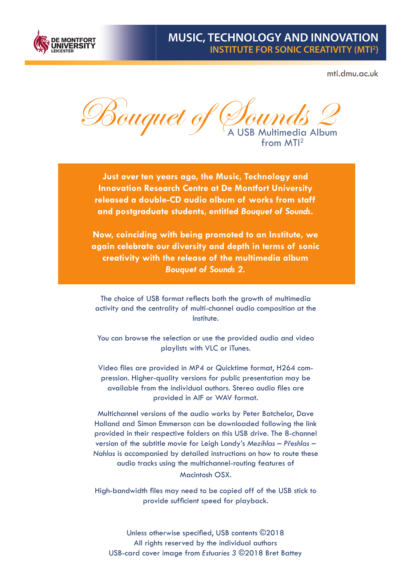

# **MUSIC, TECHNOLOGY AND INNOVATION INSTITUTE FOR SONIC CREATIVITY (MTI2 )**

mti.dmu.ac.uk

Bouquet of Dounds 2 from MTI<sup>2</sup>

**Just over ten years ago, the Music, Technology and Innovation Research Centre at De Montfort University released a double-CD audio album of works from staff and postgraduate students, entitled** *Bouquet of Sounds***.** 

**Now, coinciding with being promoted to an Institute, we again celebrate our diversity and depth in terms of sonic creativity with the release of the multimedia album**  *Bouquet of Sounds 2***.**

The choice of USB format reflects both the growth of multimedia activity and the centrality of multi-channel audio composition at the Institute.

You can browse the selection or use the provided audio and video playlists with VLC or iTunes.

Video files are provided in MP4 or Quicktime format, H264 compression. Higher-quality versions for public presentation may be available from the individual authors. Stereo audio files are provided in AIF or WAV format.

Multichannel versions of the audio works by Peter Batchelor, Dave Holland and Simon Emmerson can be downloaded following the link provided in their respective folders on this USB drive. The 8-channel version of the subtitle movie for Leigh Landy's *Mezihlas – Přeshlas – Nahlas* is accompanied by detailed instructions on how to route these audio tracks using the multichannel-routing features of Macintosh OSX.

High-bandwidth files may need to be copied off of the USB stick to provide sufficient speed for playback.

Unless otherwise specified, USB contents ©2018 All rights reserved by the individual authors USB-card cover image from *Estuaries 3* ©2018 Bret Battey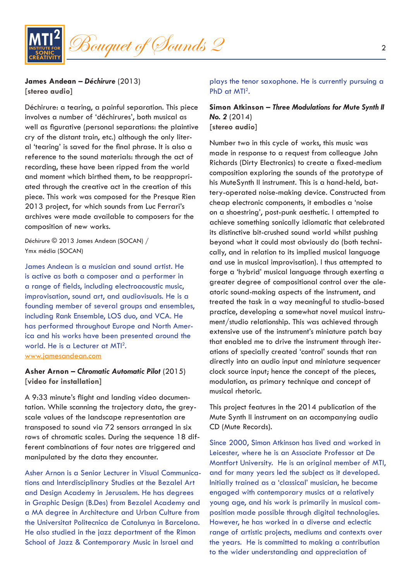

**James Andean –** *Déchirure* (2013) **[stereo audio]**

Déchirure: a tearing, a painful separation. This piece involves a number of 'déchirures', both musical as well as figurative (personal separations: the plaintive cry of the distant train, etc.) although the only literal 'tearing' is saved for the final phrase. It is also a reference to the sound materials: through the act of recording, these have been ripped from the world and moment which birthed them, to be reappropriated through the creative act in the creation of this piece. This work was composed for the Presque Rien 2013 project, for which sounds from Luc Ferrari's archives were made available to composers for the composition of new works.

*Déchirure* © 2013 James Andean (SOCAN) / Ymx média (SOCAN)

James Andean is a musician and sound artist. He is active as both a composer and a performer in a range of fields, including electroacoustic music, improvisation, sound art, and audiovisuals. He is a founding member of several groups and ensembles, including Rank Ensemble, LOS duo, and VCA. He has performed throughout Europe and North America and his works have been presented around the world. He is a Lecturer at MTI<sup>2</sup>.

www.jamesandean.com

## **Asher Arnon –** *Chromatic Automatic Pilot* (2015) **[video for installation]**

A 9:33 minute's flight and landing video documentation. While scanning the trajectory data, the greyscale values of the landscape representation are transposed to sound via 72 sensors arranged in six rows of chromatic scales. During the sequence 18 different combinations of four notes are triggered and manipulated by the data they encounter.

Asher Arnon is a Senior Lecturer in Visual Communications and Interdisciplinary Studies at the Bezalel Art and Design Academy in Jerusalem. He has degrees in Graphic Design (B.Des) from Bezalel Academy and a MA degree in Architecture and Urban Culture from the Universitat Politecnica de Catalunya in Barcelona. He also studied in the jazz department of the Rimon School of Jazz & Contemporary Music in Israel and

plays the tenor saxophone. He is currently pursuing a PhD at MTI<sup>2</sup>.

**Simon Atkinson –** *Three Modulations for Mute Synth II No. 2* (2014) **[stereo audio]**

Number two in this cycle of works, this music was made in response to a request from colleague John Richards (Dirty Electronics) to create a fixed-medium composition exploring the sounds of the prototype of his MuteSynth II instrument. This is a hand-held, battery-operated noise-making device. Constructed from cheap electronic components, it embodies a 'noise on a shoestring', post-punk aesthetic. I attempted to achieve something sonically idiomatic that celebrated its distinctive bit-crushed sound world whilst pushing beyond what it could most obviously do (both technically, and in relation to its implied musical language and use in musical improvisation). I thus attempted to forge a 'hybrid' musical language through exerting a greater degree of compositional control over the aleatoric sound-making aspects of the instrument, and treated the task in a way meaningful to studio-based practice, developing a somewhat novel musical instrument/studio relationship. This was achieved through extensive use of the instrument's miniature patch bay that enabled me to drive the instrument through iterations of specially created 'control' sounds that ran directly into an audio input and miniature sequencer clock source input; hence the concept of the pieces, modulation, as primary technique and concept of musical rhetoric.

This project features in the 2014 publication of the Mute Synth II instrument on an accompanying audio CD (Mute Records).

Since 2000, Simon Atkinson has lived and worked in Leicester, where he is an Associate Professor at De Montfort University. He is an original member of MTI, and for many years led the subject as it developed. Initially trained as a 'classical' musician, he became engaged with contemporary musics at a relatively young age, and his work is primarily in musical composition made possible through digital technologies. However, he has worked in a diverse and eclectic range of artistic projects, mediums and contexts over the years. He is committed to making a contribution to the wider understanding and appreciation of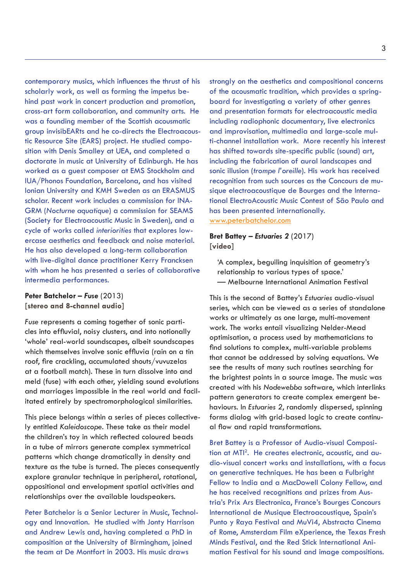contemporary musics, which influences the thrust of his scholarly work, as well as forming the impetus behind past work in concert production and promotion, cross-art form collaboration, and community arts. He was a founding member of the Scottish acousmatic group invisibEARts and he co-directs the Electroacoustic Resource Site (EARS) project. He studied composition with Denis Smalley at UEA, and completed a doctorate in music at University of Edinburgh. He has worked as a guest composer at EMS Stockholm and IUA/Phonos Foundation, Barcelona, and has visited Ionian University and KMH Sweden as an ERASMUS scholar. Recent work includes a commission for INA-GRM (*Nocturne aquatique*) a commission for SEAMS (Society for Electroacoustic Music in Sweden), and a cycle of works called *interiorities* that explores lowercase aesthetics and feedback and noise material. He has also developed a long-term collaboration with live-digital dance practitioner Kerry Francksen with whom he has presented a series of collaborative intermedia performances.

#### **Peter Batchelor –** *Fuse* (2013) **[stereo and 8-channel audio]**

*Fuse* represents a coming together of sonic particles into effluvial, noisy clusters, and into notionally 'whole' real-world soundscapes, albeit soundscapes which themselves involve sonic effluvia (rain on a tin roof, fire crackling, accumulated shouts/vuvuzelas at a football match). These in turn dissolve into and meld (fuse) with each other, yielding sound evolutions and marriages impossible in the real world and facilitated entirely by spectromorphological similarities.

This piece belongs within a series of pieces collectively entitled *Kaleidoscope*. These take as their model the children's toy in which reflected coloured beads in a tube of mirrors generate complex symmetrical patterns which change dramatically in density and texture as the tube is turned. The pieces consequently explore granular technique in peripheral, rotational, oppositional and envelopment spatial activities and relationships over the available loudspeakers.

Peter Batchelor is a Senior Lecturer in Music, Technology and Innovation. He studied with Jonty Harrison and Andrew Lewis and, having completed a PhD in composition at the University of Birmingham, joined the team at De Montfort in 2003. His music draws

strongly on the aesthetics and compositional concerns of the acousmatic tradition, which provides a springboard for investigating a variety of other genres and presentation formats for electroacoustic media including radiophonic documentary, live electronics and improvisation, multimedia and large-scale multi-channel installation work. More recently his interest has shifted towards site-specific public (sound) art, including the fabrication of aural landscapes and sonic illusion (*trompe l'oreille*). His work has received recognition from such sources as the Concours de musique electroacoustique de Bourges and the International ElectroAcoustic Music Contest of São Paulo and has been presented internationally. www.peterbatchelor.com

## **Bret Battey –** *Estuaries 2* (2017) **[video]**

'A complex, beguiling inquisition of geometry's relationship to various types of space.' — Melbourne International Animation Festival

This is the second of Battey's *Estuaries* audio-visual series, which can be viewed as a series of standalone works or ultimately as one large, multi-movement work. The works entail visualizing Nelder-Mead optimisation, a process used by mathematicians to find solutions to complex, multi-variable problems that cannot be addressed by solving equations. We see the results of many such routines searching for the brightest points in a source image. The music was created with his *Nodewebba* software, which interlinks pattern generators to create complex emergent behaviours. In *Estuaries 2*, randomly dispersed, spinning forms dialog with grid-based logic to create continual flow and rapid transformations.

Bret Battey is a Professor of Audio-visual Composition at MTI<sup>2</sup>. He creates electronic, acoustic, and audio-visual concert works and installations, with a focus on generative techniques. He has been a Fulbright Fellow to India and a MacDowell Colony Fellow, and he has received recognitions and prizes from Austria's Prix Ars Electronica, France's Bourges Concours International de Musique Electroacoustique, Spain's Punto y Raya Festival and MuVi4, Abstracta Cinema of Rome, Amsterdam Film eXperience, the Texas Fresh Minds Festival, and the Red Stick International Animation Festival for his sound and image compositions.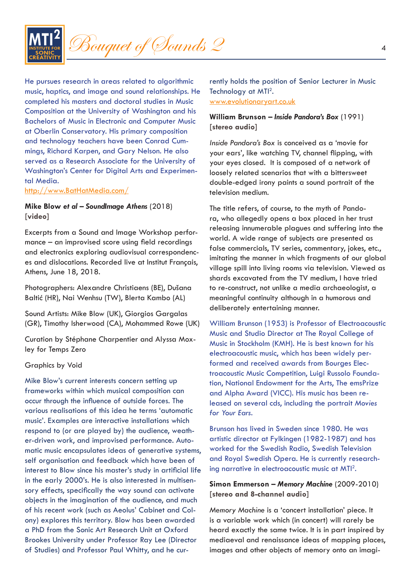

He pursues research in areas related to algorithmic music, haptics, and image and sound relationships. He completed his masters and doctoral studies in Music Composition at the University of Washington and his Bachelors of Music in Electronic and Computer Music at Oberlin Conservatory. His primary composition and technology teachers have been Conrad Cummings, Richard Karpen, and Gary Nelson. He also served as a Research Associate for the University of Washington's Center for Digital Arts and Experimental Media.

http://www.BatHatMedia.com/

## **Mike Blow** *et al* **–** *SoundImage Athens* (2018) **[video]**

Excerpts from a Sound and Image Workshop performance – an improvised score using field recordings and electronics exploring audiovisual correspondences and dislocations. Recorded live at Institut Français, Athens, June 18, 2018.

Photographers: Alexandre Christiaens (BE), Dušana Baltić (HR), Nai Wenhsu (TW), Blerta Kambo (AL)

Sound Artists: Mike Blow (UK), Giorgios Gargalas (GR), Timothy Isherwood (CA), Mohammed Rowe (UK)

Curation by Stéphane Charpentier and Alyssa Moxley for Temps Zero

#### Graphics by Void

Mike Blow's current interests concern setting up frameworks within which musical composition can occur through the influence of outside forces. The various realisations of this idea he terms 'automatic music'. Examples are interactive installations which respond to (or are played by) the audience, weather-driven work, and improvised performance. Automatic music encapsulates ideas of generative systems, self organisation and feedback which have been of interest to Blow since his master's study in artificial life in the early 2000's. He is also interested in multisensory effects, specifically the way sound can activate objects in the imagination of the audience, and much of his recent work (such as Aeolus' Cabinet and Colony) explores this territory. Blow has been awarded a PhD from the Sonic Art Research Unit at Oxford Brookes University under Professor Ray Lee (Director of Studies) and Professor Paul Whitty, and he currently holds the position of Senior Lecturer in Music Technology at MTI<sup>2</sup>.

www.evolutionaryart.co.uk

## **William Brunson –** *Inside Pandora's Box* (1991) **[stereo audio]**

*Inside Pandora's Box* is conceived as a 'movie for your ears', like watching TV, channel flipping, with your eyes closed. It is composed of a network of loosely related scenarios that with a bittersweet double-edged irony paints a sound portrait of the television medium.

The title refers, of course, to the myth of Pandora, who allegedly opens a box placed in her trust releasing innumerable plagues and suffering into the world. A wide range of subjects are presented as false commercials, TV series, commentary, jokes, etc., imitating the manner in which fragments of our global village spill into living rooms via television. Viewed as shards excavated from the TV medium, I have tried to re-construct, not unlike a media archaeologist, a meaningful continuity although in a humorous and deliberately entertaining manner.

William Brunson (1953) is Professor of Electroacoustic Music and Studio Director at The Royal College of Music in Stockholm (KMH). He is best known for his electroacoustic music, which has been widely performed and received awards from Bourges Electroacoustic Music Competition, Luigi Russolo Foundation, National Endowment for the Arts, The emsPrize and Alpha Award (VICC). His music has been released on several cds, including the portrait *Movies for Your Ears*.

Brunson has lived in Sweden since 1980. He was artistic director at Fylkingen (1982-1987) and has worked for the Swedish Radio, Swedish Television and Royal Swedish Opera. He is currently researching narrative in electroacoustic music at MTI<sup>2</sup>.

# **Simon Emmerson –** *Memory Machine* (2009-2010) **[stereo and 8-channel audio]**

*Memory Machine* is a 'concert installation' piece. It is a variable work which (in concert) will rarely be heard exactly the same twice. It is in part inspired by mediaeval and renaissance ideas of mapping places, images and other objects of memory onto an imagi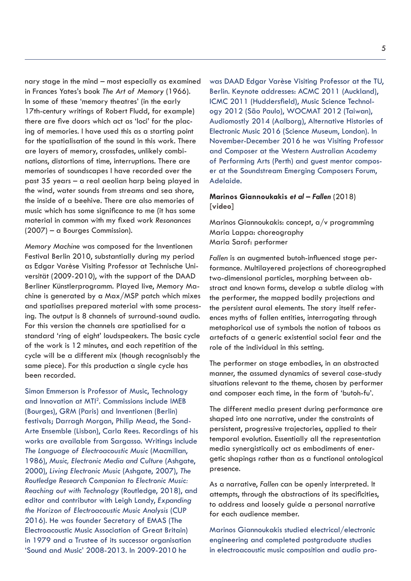nary stage in the mind – most especially as examined in Frances Yates's book *The Art of Memory* (1966). In some of these 'memory theatres' (in the early 17th-century writings of Robert Fludd, for example) there are five doors which act as 'loci' for the placing of memories. I have used this as a starting point for the spatialisation of the sound in this work. There are layers of memory, crossfades, unlikely combinations, distortions of time, interruptions. There are memories of soundscapes I have recorded over the past 35 years – a real aeolian harp being played in the wind, water sounds from streams and sea shore, the inside of a beehive. There are also memories of music which has some significance to me (it has some material in common with my fixed work *Resonances* (2007) – a Bourges Commission).

*Memory Machine* was composed for the Inventionen Festival Berlin 2010, substantially during my period as Edgar Varèse Visiting Professor at Technische Universität (2009-2010), with the support of the DAAD Berliner Künstlerprogramm. Played live, Memory Machine is generated by a Max/MSP patch which mixes and spatialises prepared material with some processing. The output is 8 channels of surround-sound audio. For this version the channels are spatialised for a standard 'ring of eight' loudspeakers. The basic cycle of the work is 12 minutes, and each repetition of the cycle will be a different mix (though recognisably the same piece). For this production a single cycle has been recorded.

Simon Emmerson is Professor of Music, Technology and Innovation at MTI<sup>2</sup>. Commissions include IMEB (Bourges), GRM (Paris) and Inventionen (Berlin) festivals; Darragh Morgan, Philip Mead, the Sond-Arte Ensemble (Lisbon), Carla Rees. Recordings of his works are available from Sargasso. Writings include *The Language of Electroacoustic Music* (Macmillan, 1986), *Music, Electronic Media and Culture* (Ashgate, 2000), *Living Electronic Music* (Ashgate, 2007), *The Routledge Research Companion to Electronic Music: Reaching out with Technology* (Routledge, 2018), and editor and contributor with Leigh Landy, *Expanding the Horizon of Electroacoustic Music Analysis* (CUP 2016). He was founder Secretary of EMAS (The Electroacoustic Music Association of Great Britain) in 1979 and a Trustee of its successor organisation 'Sound and Music' 2008-2013. In 2009-2010 he

was DAAD Edgar Varèse Visiting Professor at the TU, Berlin. Keynote addresses: ACMC 2011 (Auckland), ICMC 2011 (Huddersfield), Music Science Technology 2012 (São Paulo), WOCMAT 2012 (Taiwan), Audiomostly 2014 (Aalborg), Alternative Histories of Electronic Music 2016 (Science Museum, London). In November-December 2016 he was Visiting Professor and Composer at the Western Australian Academy of Performing Arts (Perth) and guest mentor composer at the Soundstream Emerging Composers Forum, Adelaide.

# **Marinos Giannoukakis** *et al* **–** *Fallen* (2018) **[video]**

Marinos Giannoukakis: concept, a/v programming Maria Lappa: choreography Maria Sarof: performer

*Fallen* is an augmented butoh-influenced stage performance. Multilayered projections of choreographed two-dimensional particles, morphing between abstract and known forms, develop a subtle dialog with the performer, the mapped bodily projections and the persistent aural elements. The story itself references myths of fallen entities, interrogating through metaphorical use of symbols the notion of taboos as artefacts of a generic existential social fear and the role of the individual in this setting.

The performer on stage embodies, in an abstracted manner, the assumed dynamics of several case-study situations relevant to the theme, chosen by performer and composer each time, in the form of 'butoh-fu'.

The different media present during performance are shaped into one narrative, under the constraints of persistent, progressive trajectories, applied to their temporal evolution. Essentially all the representation media synergistically act as embodiments of energetic shapings rather than as a functional ontological presence.

As a narrative, *Fallen* can be openly interpreted. It attempts, through the abstractions of its specificities, to address and loosely guide a personal narrative for each audience member.

Marinos Giannoukakis studied electrical/electronic engineering and completed postgraduate studies in electroacoustic music composition and audio pro-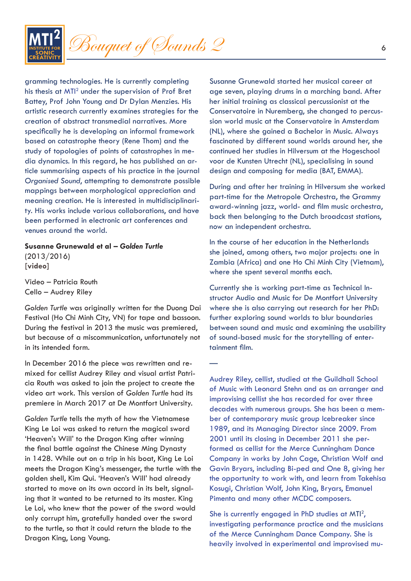

gramming technologies. He is currently completing his thesis at MTI<sup>2</sup> under the supervision of Prof Bret Battey, Prof John Young and Dr Dylan Menzies. His artistic research currently examines strategies for the creation of abstract transmedial narratives. More specifically he is developing an informal framework based on catastrophe theory (Rene Thom) and the study of topologies of points of catastrophes in media dynamics. In this regard, he has published an article summarising aspects of his practice in the journal *Organised Sound*, attempting to demonstrate possible mappings between morphological appreciation and meaning creation. He is interested in multidisciplinarity. His works include various collaborations, and have been performed in electronic art conferences and venues around the world.

#### **Susanne Grunewald et al –** *Golden Turtle*

(2013/2016) **[video]**

Video – Patricia Routh Cello – Audrey Riley

*Golden Turtle* was originally written for the Duong Dai Festival (Ho Chi Minh City, VN) for tape and bassoon. During the festival in 2013 the music was premiered, but because of a miscommunication, unfortunately not in its intended form.

In December 2016 the piece was rewritten and remixed for cellist Audrey Riley and visual artist Patricia Routh was asked to join the project to create the video art work. This version of *Golden Turtle* had its premiere in March 2017 at De Montfort University.

*Golden Turtle* tells the myth of how the Vietnamese King Le Loi was asked to return the magical sword 'Heaven's Will' to the Dragon King after winning the final battle against the Chinese Ming Dynasty in 1428. While out on a trip in his boat, King Le Loi meets the Dragon King's messenger, the turtle with the golden shell, Kim Qui. 'Heaven's Will' had already started to move on its own accord in its belt, signaling that it wanted to be returned to its master. King Le Loi, who knew that the power of the sword would only corrupt him, gratefully handed over the sword to the turtle, so that it could return the blade to the Dragon King, Long Voung.

Susanne Grunewald started her musical career at age seven, playing drums in a marching band. After her initial training as classical percussionist at the Conservatoire in Nuremberg, she changed to percussion world music at the Conservatoire in Amsterdam (NL), where she gained a Bachelor in Music. Always fascinated by different sound worlds around her, she continued her studies in Hilversum at the Hogeschool voor de Kunsten Utrecht (NL), specialising in sound design and composing for media (BAT, EMMA).

During and after her training in Hilversum she worked part-time for the Metropole Orchestra, the Grammy award-winning jazz, world- and film music orchestra, back then belonging to the Dutch broadcast stations, now an independent orchestra.

In the course of her education in the Netherlands she joined, among others, two major projects: one in Zambia (Africa) and one Ho Chi Minh City (Vietnam), where she spent several months each.

Currently she is working part-time as Technical Instructor Audio and Music for De Montfort University where she is also carrying out research for her PhD: further exploring sound worlds to blur boundaries between sound and music and examining the usability of sound-based music for the storytelling of entertainment film.

—

Audrey Riley, cellist, studied at the Guildhall School of Music with Leonard Stehn and as an arranger and improvising cellist she has recorded for over three decades with numerous groups. She has been a member of contemporary music group Icebreaker since 1989, and its Managing Director since 2009. From 2001 until its closing in December 2011 she performed as cellist for the Merce Cunningham Dance Company in works by John Cage, Christian Wolf and Gavin Bryars, including Bi-ped and One 8, giving her the opportunity to work with, and learn from Takehisa Kosugi, Christian Wolf, John King, Bryars, Emanuel Pimenta and many other MCDC composers.

She is currently engaged in PhD studies at MTI<sup>2</sup>, investigating performance practice and the musicians of the Merce Cunningham Dance Company. She is heavily involved in experimental and improvised mu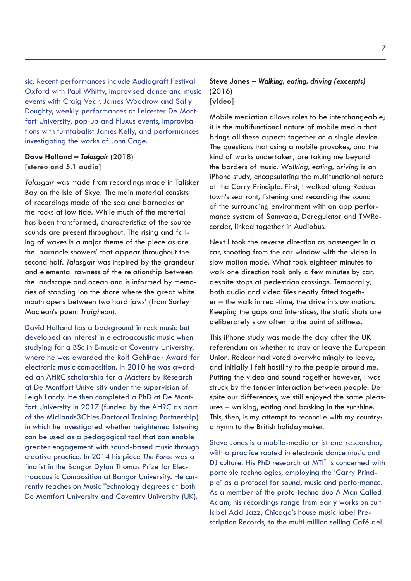sic. Recent performances include Audiograft Festival Oxford with Paul Whitty, improvised dance and music events with Craig Vear, James Woodrow and Sally Doughty, weekly performances at Leicester De Montfort University, pop-up and Fluxus events, improvisations with turntabalist James Kelly, and performances investigating the works of John Cage.

# **Dave Holland –** *Talasgair* (2018) **[stereo and 5.1 audio]**

*Talasgair* was made from recordings made in Talisker Bay on the Isle of Skye. The main material consists of recordings made of the sea and barnacles on the rocks at low tide. While much of the material has been transformed, characteristics of the source sounds are present throughout. The rising and falling of waves is a major theme of the piece as are the 'barnacle showers' that appear throughout the second half. *Talasgair* was inspired by the grandeur and elemental rawness of the relationship between the landscape and ocean and is informed by memories of standing 'on the shore where the great white mouth opens between two hard jaws' (from Sorley Maclean's poem *Tràighean*).

David Holland has a background in rock music but developed an interest in electroacoustic music when studying for a BSc in E-music at Coventry University, where he was awarded the Rolf Gehlhaar Award for electronic music composition. In 2010 he was awarded an AHRC scholarship for a Masters by Research at De Montfort University under the supervision of Leigh Landy. He then completed a PhD at De Montfort University in 2017 (funded by the AHRC as part of the Midlands3Cities Doctoral Training Partnership) in which he investigated whether heightened listening can be used as a pedagogical tool that can enable greater engagement with sound-based music through creative practice. In 2014 his piece *The Force* was a finalist in the Bangor Dylan Thomas Prize for Electroacoustic Composition at Bangor University. He currently teaches on Music Technology degrees at both De Montfort University and Coventry University (UK).

# **Steve Jones –** *Walking, eating, driving (excerpts)*  (2016) **[video]**

Mobile mediation allows roles to be interchangeable; it is the multifunctional nature of mobile media that brings all these aspects together on a single device. The questions that using a mobile provokes, and the kind of works undertaken, are taking me beyond the borders of music. *Walking, eating, driving* is an iPhone study, encapsulating the multifunctional nature of the Carry Principle. First, I walked along Redcar town's seafront, listening and recording the sound of the surrounding environment with an app performance system of Samvada, Deregulator and TWRecorder, linked together in Audiobus.

Next I took the reverse direction as passenger in a car, shooting from the car window with the video in slow motion mode. What took eighteen minutes to walk one direction took only a few minutes by car, despite stops at pedestrian crossings. Temporally, both audio and video files neatly fitted together – the walk in real-time, the drive in slow motion. Keeping the gaps and interstices, the static shots are deliberately slow often to the point of stillness.

This iPhone study was made the day after the UK referendum on whether to stay or leave the European Union. Redcar had voted overwhelmingly to leave, and initially I felt hostility to the people around me. Putting the video and sound together however, I was struck by the tender interaction between people. Despite our differences, we still enjoyed the same pleasures – walking, eating and basking in the sunshine. This, then, is my attempt to reconcile with my country: a hymn to the British holidaymaker.

Steve Jones is a mobile-media artist and researcher, with a practice rooted in electronic dance music and DJ culture. His PhD research at MTI<sup>2</sup> is concerned with portable technologies, employing the 'Carry Principle' as a protocol for sound, music and performance. As a member of the proto-techno duo A Man Called Adam, his recordings range from early works on cult label Acid Jazz, Chicago's house music label Prescription Records, to the multi-million selling Café del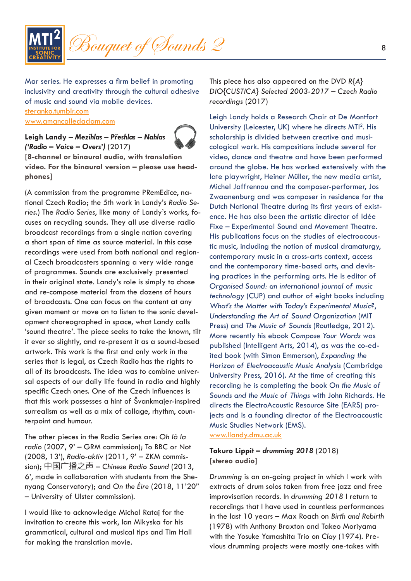

Mar series. He expresses a firm belief in promoting inclusivity and creativity through the cultural adhesive of music and sound via mobile devices. steranko.tumblr.com www.amancalledadam.com

# **Leigh Landy –** *Mezihlas – Přeshlas – Nahlas ('Radio – Voice – Overs')* (2017)



**[8-channel or binaural audio, with translation video. For the binaural version – please use headphones]**

(A commission from the programme PRemEdice, national Czech Radio; the 5th work in Landy's *Radio Series*.) The *Radio Series*, like many of Landy's works, focuses on recycling sounds. They all use diverse radio broadcast recordings from a single nation covering a short span of time as source material. In this case recordings were used from both national and regional Czech broadcasters spanning a very wide range of programmes. Sounds are exclusively presented in their original state. Landy's role is simply to chose and re-compose material from the dozens of hours of broadcasts. One can focus on the content at any given moment or move on to listen to the sonic development choreographed in space, what Landy calls 'sound theatre'. The piece seeks to take the known, tilt it ever so slightly, and re-present it as a sound-based artwork. This work is the first and only work in the series that is legal, as Czech Radio has the rights to all of its broadcasts. The idea was to combine universal aspects of our daily life found in radio and highly specific Czech ones. One of the Czech influences is that this work possesses a hint of Švankmajer-inspired surrealism as well as a mix of collage, rhythm, counterpoint and humour.

The other pieces in the Radio Series are: *Oh là la radio* (2007, 9' – GRM commission); To BBC or Not (2008, 13'), *Radio-aktiv* (2011, 9' – ZKM commission); 中国广播之声 – *Chinese Radio Sound* (2013, 6', made in collaboration with students from the Shenyang Conservatory); and *On the Éire* (2018, 11'20" – University of Ulster commission).

I would like to acknowledge Michal Rataj for the invitation to create this work, Ian Mikyska for his grammatical, cultural and musical tips and Tim Hall for making the translation movie.

This piece has also appeared on the DVD *R{A} DIO{CUSTICA} Selected 2003-2017 – Czech Radio recordings* (2017)

Leigh Landy holds a Research Chair at De Montfort University (Leicester, UK) where he directs MTI<sup>2</sup>. His scholarship is divided between creative and musicological work. His compositions include several for video, dance and theatre and have been performed around the globe. He has worked extensively with the late playwright, Heiner Müller, the new media artist, Michel Jaffrennou and the composer-performer, Jos Zwaanenburg and was composer in residence for the Dutch National Theatre during its first years of existence. He has also been the artistic director of Idée Fixe – Experimental Sound and Movement Theatre. His publications focus on the studies of electroacoustic music, including the notion of musical dramaturgy, contemporary music in a cross-arts context, access and the contemporary time-based arts, and devising practices in the performing arts. He is editor of *Organised Sound: an international journal of music technology* (CUP) and author of eight books including *What's the Matter with Today's Experimental Music?*, *Understanding the Art of Sound Organization* (MIT Press) and *The Music of Sounds* (Routledge, 2012). More recently his ebook *Compose Your Words* was published (Intelligent Arts, 2014), as was the co-edited book (with Simon Emmerson), *Expanding the Horizon of Electroacoustic Music Analysis* (Cambridge University Press, 2016). At the time of creating this recording he is completing the book *On the Music of Sounds and the Music of Things* with John Richards. He directs the ElectroAcoustic Resource Site (EARS) projects and is a founding director of the Electroacoustic Music Studies Network (EMS). www.llandy.dmu.ac.uk

# **Takuro Lippit –** *drumming 2018* (2018) **[stereo audio]**

*Drumming* is an on-going project in which I work with extracts of drum solos taken from free jazz and free improvisation records. In *drumming 2018* I return to recordings that I have used in countless performances in the last 10 years – Max Roach on *Birth and Rebirth* (1978) with Anthony Braxton and Takeo Moriyama with the Yosuke Yamashita Trio on *Clay* (1974). Previous drumming projects were mostly one-takes with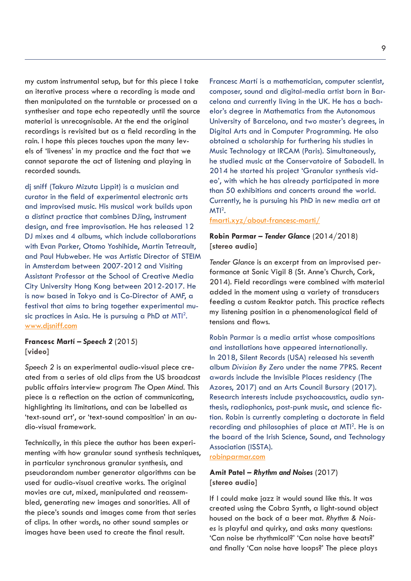my custom instrumental setup, but for this piece I take an iterative process where a recording is made and then manipulated on the turntable or processed on a synthesiser and tape echo repeatedly until the source material is unrecognisable. At the end the original recordings is revisited but as a field recording in the rain. I hope this pieces touches upon the many levels of 'liveness' in my practice and the fact that we cannot separate the act of listening and playing in recorded sounds.

dj sniff (Takuro Mizuta Lippit) is a musician and curator in the field of experimental electronic arts and improvised music. His musical work builds upon a distinct practice that combines DJing, instrument design, and free improvisation. He has released 12 DJ mixes and 4 albums, which include collaborations with Evan Parker, Otomo Yoshihide, Martin Tetreault, and Paul Hubweber. He was Artistic Director of STEIM in Amsterdam between 2007-2012 and Visiting Assistant Professor at the School of Creative Media City University Hong Kong between 2012-2017. He is now based in Tokyo and is Co-Director of AMF, a festival that aims to bring together experimental music practices in Asia. He is pursuing a PhD at MTI<sup>2</sup>. www.djsniff.com

**Francesc Martí –** *Speech 2* (2015) **[video]**

*Speech 2* is an experimental audio-visual piece created from a series of old clips from the US broadcast public affairs interview program *The Open Mind*. This piece is a reflection on the action of communicating, highlighting its limitations, and can be labelled as 'text-sound art', or 'text-sound composition' in an audio-visual framework.

Technically, in this piece the author has been experimenting with how granular sound synthesis techniques, in particular synchronous granular synthesis, and pseudorandom number generator algorithms can be used for audio-visual creative works. The original movies are cut, mixed, manipulated and reassembled, generating new images and sonorities. All of the piece's sounds and images come from that series of clips. In other words, no other sound samples or images have been used to create the final result.

Francesc Martí is a mathematician, computer scientist, composer, sound and digital-media artist born in Barcelona and currently living in the UK. He has a bachelor's degree in Mathematics from the Autonomous University of Barcelona, and two master's degrees, in Digital Arts and in Computer Programming. He also obtained a scholarship for furthering his studies in Music Technology at IRCAM (Paris). Simultaneously, he studied music at the Conservatoire of Sabadell. In 2014 he started his project 'Granular synthesis video', with which he has already participated in more than 50 exhibitions and concerts around the world. Currently, he is pursuing his PhD in new media art at  $MTI<sup>2</sup>$ .

fmarti.xyz/about-francesc-marti/

## **Robin Parmar –** *Tender Glance* (2014/2018) **[stereo audio]**

*Tender Glance* is an excerpt from an improvised performance at Sonic Vigil 8 (St. Anne's Church, Cork, 2014). Field recordings were combined with material added in the moment using a variety of transducers feeding a custom Reaktor patch. This practice reflects my listening position in a phenomenological field of tensions and flows.

Robin Parmar is a media artist whose compositions and installations have appeared internationally. In 2018, Silent Records (USA) released his seventh album *Division By Zero* under the name 7PRS. Recent awards include the Invisible Places residency (The Azores, 2017) and an Arts Council Bursary (2017). Research interests include psychoacoustics, audio synthesis, radiophonics, post-punk music, and science fiction. Robin is currently completing a doctorate in field recording and philosophies of place at MTI<sup>2</sup>. He is on the board of the Irish Science, Sound, and Technology Association (ISSTA).

robinparmar.com

## **Amit Patel –** *Rhythm and Noises* (2017) **[stereo audio]**

If I could make jazz it would sound like this. It was created using the Cobra Synth, a light-sound object housed on the back of a beer mat. *Rhythm & Noises* is playful and quirky, and asks many questions: 'Can noise be rhythmical?' 'Can noise have beats?' and finally 'Can noise have loops?' The piece plays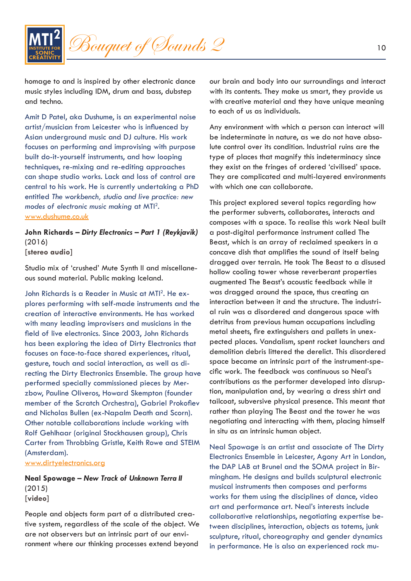

homage to and is inspired by other electronic dance music styles including IDM, drum and bass, dubstep and techno.

Amit D Patel, aka Dushume, is an experimental noise artist/musician from Leicester who is influenced by Asian underground music and DJ culture. His work focuses on performing and improvising with purpose built do-it-yourself instruments, and how looping techniques, re-mixing and re-editing approaches can shape studio works. Lack and loss of control are central to his work. He is currently undertaking a PhD entitled *The workbench, studio and live practice: new modes of electronic music making* at MTI2 . www.dushume.co.uk

**John Richards –** *Dirty Electronics – Part 1 (Reykjavik)*  (2016) **[stereo audio]**

Studio mix of 'crushed' Mute Synth II and miscellaneous sound material. Public making Iceland.

John Richards is a Reader in Music at MTI<sup>2</sup>. He explores performing with self-made instruments and the creation of interactive environments. He has worked with many leading improvisers and musicians in the field of live electronics. Since 2003, John Richards has been exploring the idea of Dirty Electronics that focuses on face-to-face shared experiences, ritual, gesture, touch and social interaction, as well as directing the Dirty Electronics Ensemble. The group have performed specially commissioned pieces by Merzbow, Pauline Oliveros, Howard Skempton (founder member of the Scratch Orchestra), Gabriel Prokofiev and Nicholas Bullen (ex-Napalm Death and Scorn). Other notable collaborations include working with Rolf Gehlhaar (original Stockhausen group), Chris Carter from Throbbing Gristle, Keith Rowe and STEIM (Amsterdam).

www.dirtyelectronics.org

**Neal Spowage –** *New Track of Unknown Terra II*  (2015) **[video]**

People and objects form part of a distributed creative system, regardless of the scale of the object. We are not observers but an intrinsic part of our environment where our thinking processes extend beyond

our brain and body into our surroundings and interact with its contents. They make us smart, they provide us with creative material and they have unique meaning to each of us as individuals.

Any environment with which a person can interact will be indeterminate in nature, as we do not have absolute control over its condition. Industrial ruins are the type of places that magnify this indeterminacy since they exist on the fringes of ordered 'civilised' space. They are complicated and multi-layered environments with which one can collaborate.

This project explored several topics regarding how the performer subverts, collaborates, interacts and composes with a space. To realise this work Neal built a post-digital performance instrument called The Beast, which is an array of reclaimed speakers in a concave dish that amplifies the sound of itself being dragged over terrain. He took The Beast to a disused hollow cooling tower whose reverberant properties augmented The Beast's acoustic feedback while it was dragged around the space, thus creating an interaction between it and the structure. The industrial ruin was a disordered and dangerous space with detritus from previous human occupations including metal sheets, fire extinguishers and pallets in unexpected places. Vandalism, spent rocket launchers and demolition debris littered the derelict. This disordered space became an intrinsic part of the instrument-specific work. The feedback was continuous so Neal's contributions as the performer developed into disruption, manipulation and, by wearing a dress shirt and tailcoat, subversive physical presence. This meant that rather than playing The Beast and the tower he was negotiating and interacting with them, placing himself in situ as an intrinsic human object.

Neal Spowage is an artist and associate of The Dirty Electronics Ensemble in Leicester, Agony Art in London, the DAP LAB at Brunel and the SOMA project in Birmingham. He designs and builds sculptural electronic musical instruments then composes and performs works for them using the disciplines of dance, video art and performance art. Neal's interests include collaborative relationships, negotiating expertise between disciplines, interaction, objects as totems, junk sculpture, ritual, choreography and gender dynamics in performance. He is also an experienced rock mu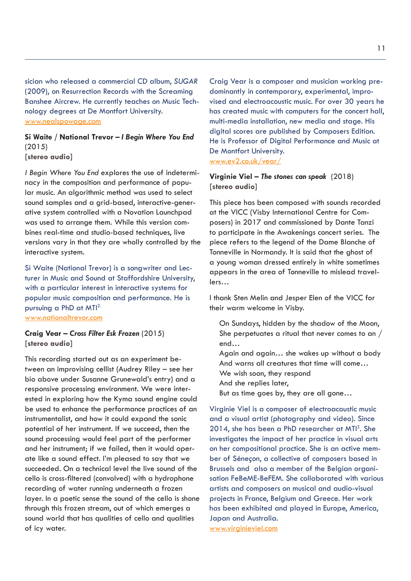sician who released a commercial CD album, *SUGAR* (2009), on Resurrection Records with the Screaming Banshee Aircrew. He currently teaches on Music Technology degrees at De Montfort University. www.nealspowage.com

**Si Waite / National Trevor –** *I Begin Where You End*  (2015) **[stereo audio]**

*I Begin Where You End* explores the use of indeterminacy in the composition and performance of popular music. An algorithmic method was used to select sound samples and a grid-based, interactive-generative system controlled with a Novation Launchpad was used to arrange them. While this version combines real-time and studio-based techniques, live versions vary in that they are wholly controlled by the interactive system.

Si Waite (National Trevor) is a songwriter and Lecturer in Music and Sound at Staffordshire University, with a particular interest in interactive systems for popular music composition and performance. He is pursuing a PhD at MTI2. www.nationaltrevor.com

**Craig Vear –** *Cross Filter Esk Frozen* (2015) **[stereo audio]**

This recording started out as an experiment between an improvising cellist (Audrey Riley – see her bio above under Susanne Grunewald's entry) and a responsive processing environment. We were interested in exploring how the Kyma sound engine could be used to enhance the performance practices of an instrumentalist, and how it could expand the sonic potential of her instrument. If we succeed, then the sound processing would feel part of the performer and her instrument; if we failed, then it would operate like a sound effect. I'm pleased to say that we succeeded. On a technical level the live sound of the cello is cross-filtered (convolved) with a hydrophone recording of water running underneath a frozen layer. In a poetic sense the sound of the cello is shone through this frozen stream, out of which emerges a sound world that has qualities of cello and qualities of icy water.

Craig Vear is a composer and musician working predominantly in contemporary, experimental, improvised and electroacoustic music. For over 30 years he has created music with computers for the concert hall, multi-media installation, new media and stage. His digital scores are published by Composers Edition. He is Professor of Digital Performance and Music at De Montfort University.

www.ev2.co.uk/vear/

## **Virginie Viel –** *The stones can speak* (2018) **[stereo audio]**

This piece has been composed with sounds recorded at the VICC (Visby International Centre for Composers) in 2017 and commissioned by Dante Tanzi to participate in the Awakenings concert series. The piece refers to the legend of the Dame Blanche of Tonneville in Normandy. It is said that the ghost of a young woman dressed entirely in white sometimes appears in the area of Tonneville to mislead travellers…

I thank Sten Melin and Jesper Elen of the VICC for their warm welcome in Visby.

On Sundays, hidden by the shadow of the Moon, She perpetuates a ritual that never comes to an / end…

Again and again… she wakes up without a body And warns all creatures that time will come… We wish soon, they respond

And she replies later,

But as time goes by, they are all gone…

Virginie Viel is a composer of electroacoustic music and a visual artist (photography and video). Since 2014, she has been a PhD researcher at MTI2 . She investigates the impact of her practice in visual arts on her compositional practice. She is an active member of Séneçon, a collective of composers based in Brussels and also a member of the Belgian organisation FeBeME-BeFEM. She collaborated with various artists and composers on musical and audio-visual projects in France, Belgium and Greece. Her work has been exhibited and played in Europe, America, Japan and Australia. www.virginieviel.com